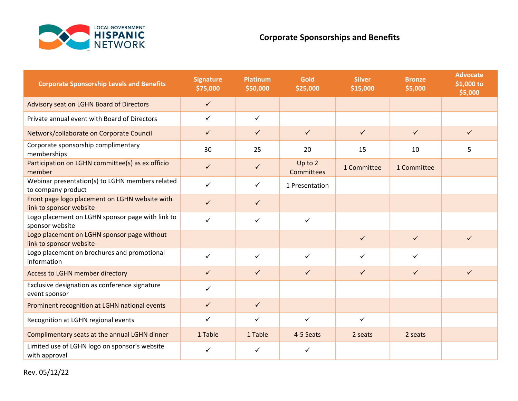

## **Corporate Sponsorships and Benefits**

| <b>Corporate Sponsorship Levels and Benefits</b>                          | <b>Signature</b><br>\$75,000 | <b>Platinum</b><br>\$50,000 | Gold<br>\$25,000             | <b>Silver</b><br>\$15,000 | <b>Bronze</b><br>\$5,000 | <b>Advocate</b><br>\$1,000 to<br>\$5,000 |
|---------------------------------------------------------------------------|------------------------------|-----------------------------|------------------------------|---------------------------|--------------------------|------------------------------------------|
| <b>Advisory seat on LGHN Board of Directors</b>                           | $\checkmark$                 |                             |                              |                           |                          |                                          |
| Private annual event with Board of Directors                              | $\checkmark$                 | $\checkmark$                |                              |                           |                          |                                          |
| Network/collaborate on Corporate Council                                  | $\checkmark$                 | $\checkmark$                | $\checkmark$                 | $\checkmark$              | $\checkmark$             | $\checkmark$                             |
| Corporate sponsorship complimentary<br>memberships                        | 30                           | 25                          | 20                           | 15                        | 10                       | 5                                        |
| Participation on LGHN committee(s) as ex officio<br>member                | $\checkmark$                 | $\checkmark$                | Up to 2<br><b>Committees</b> | 1 Committee               | 1 Committee              |                                          |
| Webinar presentation(s) to LGHN members related<br>to company product     | ✓                            | $\checkmark$                | 1 Presentation               |                           |                          |                                          |
| Front page logo placement on LGHN website with<br>link to sponsor website | $\checkmark$                 | $\checkmark$                |                              |                           |                          |                                          |
| Logo placement on LGHN sponsor page with link to<br>sponsor website       | ✓                            | $\checkmark$                | $\checkmark$                 |                           |                          |                                          |
| Logo placement on LGHN sponsor page without<br>link to sponsor website    |                              |                             |                              | $\checkmark$              | $\checkmark$             | $\checkmark$                             |
| Logo placement on brochures and promotional<br>information                | $\checkmark$                 | $\checkmark$                | $\checkmark$                 | ✓                         | $\checkmark$             |                                          |
| <b>Access to LGHN member directory</b>                                    | $\checkmark$                 | $\checkmark$                | $\checkmark$                 | $\checkmark$              | $\checkmark$             | $\checkmark$                             |
| Exclusive designation as conference signature<br>event sponsor            | $\checkmark$                 |                             |                              |                           |                          |                                          |
| Prominent recognition at LGHN national events                             | $\checkmark$                 | $\checkmark$                |                              |                           |                          |                                          |
| Recognition at LGHN regional events                                       | $\checkmark$                 | $\checkmark$                | $\checkmark$                 | $\checkmark$              |                          |                                          |
| Complimentary seats at the annual LGHN dinner                             | 1 Table                      | 1 Table                     | 4-5 Seats                    | 2 seats                   | 2 seats                  |                                          |
| Limited use of LGHN logo on sponsor's website<br>with approval            | ✓                            | $\checkmark$                | $\checkmark$                 |                           |                          |                                          |